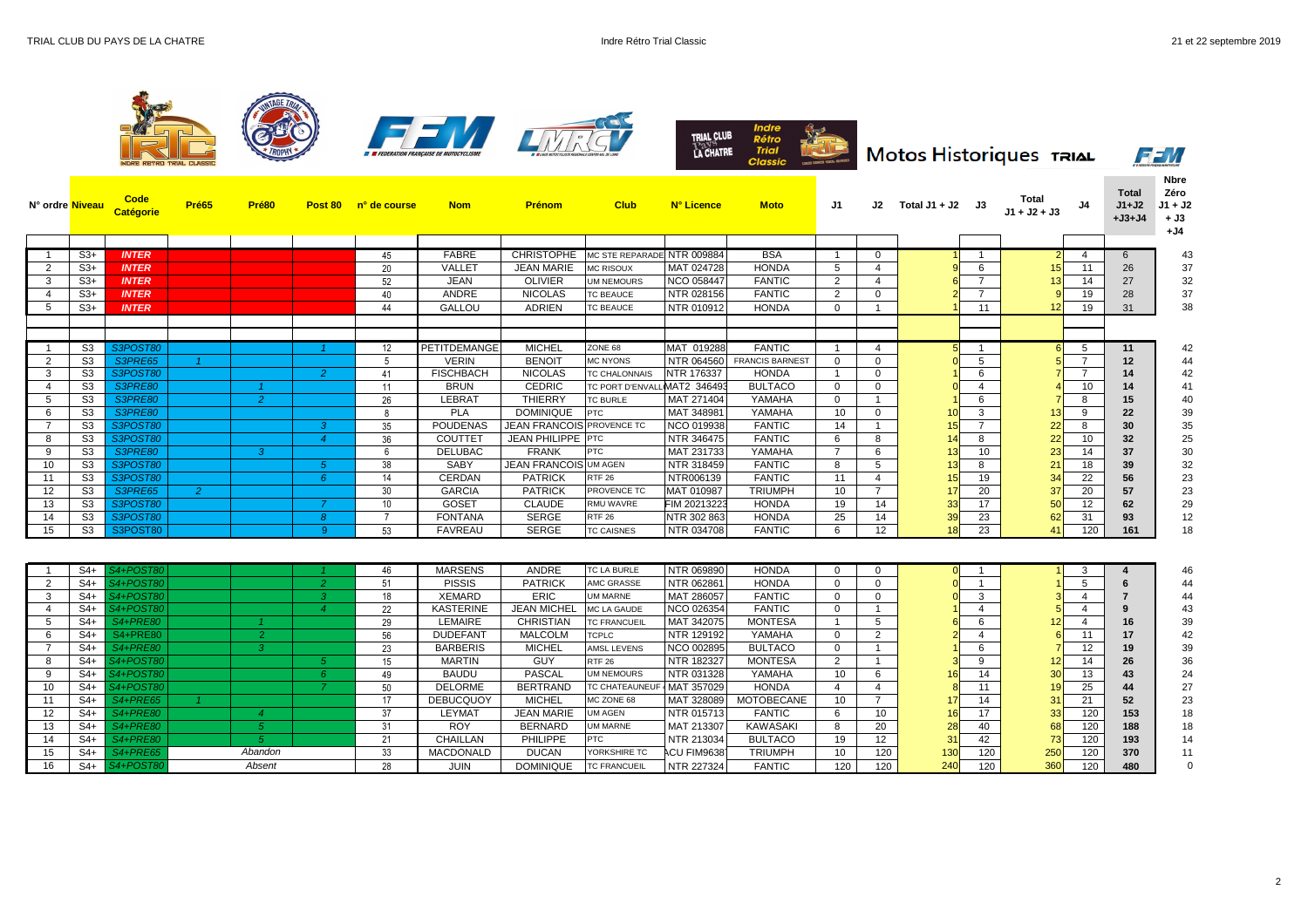

| N° ordre <mark>Niveau</mark> |                | <b>Catégorie</b> | Pré65          | Pré80          | Post 80        | n° de course    | <b>Nom</b>       | <b>Prénom</b>                    | <b>Club</b>                | N° Licence        | <b>Moto</b>            | J1             |                 | J2 Total J1 + J2 J3 |                 | Total<br>J1 + J2 + J3 |                 | <b>Total</b><br>$J1+J2$<br>$+J3+J4$ | <b>Nbre</b><br>Zéro<br>$J1 + J2$<br>$+$ J3<br>$+J4$ |
|------------------------------|----------------|------------------|----------------|----------------|----------------|-----------------|------------------|----------------------------------|----------------------------|-------------------|------------------------|----------------|-----------------|---------------------|-----------------|-----------------------|-----------------|-------------------------------------|-----------------------------------------------------|
|                              |                |                  |                |                |                |                 |                  |                                  |                            |                   |                        |                |                 |                     |                 |                       |                 |                                     |                                                     |
|                              | $S3+$          | <b>INTER</b>     |                |                |                | 45              | <b>FABRE</b>     | <b>CHRISTOPHE</b>                | MC STE REPARADE NTR 009884 |                   | <b>BSA</b>             |                | $\Omega$        |                     |                 |                       | 4               | 6                                   | 43                                                  |
| $\overline{2}$               | $S3+$          | <b>INTER</b>     |                |                |                | 20              | <b>VALLET</b>    | <b>JEAN MARIE</b>                | MC RISOUX                  | MAT 024728        | <b>HONDA</b>           | 5 <sup>5</sup> |                 |                     | 6               |                       | 11              | 26                                  | 37                                                  |
| $\mathbf{3}$                 | $S3+$          | <b>INTER</b>     |                |                |                | 52              | <b>JEAN</b>      | <b>OLIVIER</b>                   | UM NEMOURS                 | <b>NCO 058447</b> | <b>FANTIC</b>          | $\overline{2}$ |                 |                     | $\overline{7}$  |                       | 14              | 27                                  | 32                                                  |
| -4                           | $S3+$          | <b>INTER</b>     |                |                |                | 40              | <b>ANDRE</b>     | <b>NICOLAS</b>                   | <b>TC BEAUCE</b>           | NTR 028156        | <b>FANTIC</b>          | $2^{\circ}$    | $\Omega$        |                     | $\overline{7}$  |                       | 19              | 28                                  | 37<br>38                                            |
| -5                           | $S3+$          | <b>INTER</b>     |                |                |                | 44              | <b>GALLOU</b>    | <b>ADRIEN</b>                    | <b>TC BEAUCE</b>           | NTR 010912        | <b>HONDA</b>           | $\mathbf{0}$   |                 |                     | 11              |                       | 19              | 31                                  |                                                     |
|                              | S <sub>3</sub> | <b>S3POST80</b>  |                |                |                | 12              | PETITDEMANGE     | <b>MICHEL</b>                    | ZONE 68                    | MAT 019288        | <b>FANTIC</b>          |                | -4              |                     |                 | 61                    | 5               | 11                                  | 42                                                  |
| $\overline{2}$               | S3             | S3PRE65          |                |                |                | -5              | <b>VERIN</b>     | <b>BENOIT</b>                    | <b>MC NYONS</b>            | NTR 064560        | <b>FRANCIS BARNEST</b> | $\Omega$       | $\Omega$        |                     | $5\overline{)}$ |                       |                 | $12 \,$                             | 44                                                  |
| -3                           | S <sub>3</sub> | <b>S3POST80</b>  |                |                | -2             | 41              | <b>FISCHBACH</b> | <b>NICOLAS</b>                   | <b>TC CHALONNAIS</b>       | <b>NTR 176337</b> | <b>HONDA</b>           |                | $\Omega$        |                     | 6               |                       |                 | 14                                  |                                                     |
| -4                           | S <sub>3</sub> | S3PRE80          |                |                |                | 11              | <b>BRUN</b>      | <b>CEDRIC</b>                    | TC PORT D'ENVAL            | MAT2 346493       | <b>BULTACO</b>         | $\mathbf{0}$   | $\Omega$        |                     | $\overline{4}$  |                       | 10              | 14                                  | 41                                                  |
| - 5                          | S3             | S3PRE80          |                | $\overline{2}$ |                | 26              | <b>LEBRAT</b>    | <b>THIERRY</b>                   | <b>TC BURLE</b>            | MAT 271404        | YAMAHA                 | $\overline{0}$ |                 |                     | 6               |                       | 8               | 15                                  | 40                                                  |
| -6                           | S3             | S3PRE80          |                |                |                | 8               | <b>PLA</b>       | <b>DOMINIQUE</b>                 | <b>PTC</b>                 | MAT 348981        | YAMAHA                 | 10             | 0               |                     | $\mathbf{3}$    |                       | 9               | 22                                  | 39                                                  |
|                              | S3             | <b>S3POST80</b>  |                |                | $\mathbf{3}$   | 35              | <b>POUDENAS</b>  | <b>JEAN FRANCOIS PROVENCE TC</b> |                            | <b>NCO 019938</b> | <b>FANTIC</b>          | 14             |                 | 15                  | $\overline{7}$  |                       |                 | 30                                  | 35                                                  |
| -8                           | S <sub>3</sub> | <b>S3POST80</b>  |                |                |                | 36              | <b>COUTTET</b>   | <b>JEAN PHILIPPE PTC</b>         |                            | NTR 346475        | <b>FANTIC</b>          | 6              | 8               |                     | 8               |                       | 10              | 32                                  | 25                                                  |
| -9                           | S <sub>3</sub> | <b>S3PRE80</b>   |                | $\mathcal{S}$  |                | - 6             | <b>DELUBAC</b>   | <b>FRANK</b>                     | <b>PTC</b>                 | MAT 231733        | YAMAHA                 | $\overline{7}$ | 6               |                     | 10 <sup>°</sup> |                       | 14              | 37                                  | 30                                                  |
| 10                           | S3             | <b>S3POST80</b>  |                |                | 5 <sup>1</sup> | 38              | <b>SABY</b>      | <b>JEAN FRANCOIS UM AGEN</b>     |                            | NTR 318459        | <b>FANTIC</b>          | 8              | -5              |                     | 8               |                       | 18              | 39                                  | 32                                                  |
| 11                           | S3             | <b>S3POST80</b>  |                |                | 6              | 14              | <b>CERDAN</b>    | <b>PATRICK</b>                   | <b>RTF 26</b>              | NTR006139         | <b>FANTIC</b>          | 11             |                 |                     | 19              |                       | 22              | 56                                  | 23                                                  |
| 12                           | S3             | S3PRE65          | $\overline{2}$ |                |                | 30 <sup>°</sup> | <b>GARCIA</b>    | <b>PATRICK</b>                   | PROVENCE TC                | MAT 010987        | <b>TRIUMPH</b>         | 10             | $\overline{7}$  |                     | 20              | 37                    | 20              | 57                                  | 23                                                  |
| 13                           | S <sub>3</sub> | <b>S3POST80</b>  |                |                | $\overline{7}$ | 10 <sup>°</sup> | <b>GOSET</b>     | <b>CLAUDE</b>                    | RMU WAVRE                  | FIM 20213223      | <b>HONDA</b>           | 19             | 14              |                     | 17              |                       | 12 <sup>°</sup> | 62                                  | 29                                                  |
| 14                           | S <sub>3</sub> | <b>S3POST80</b>  |                |                | 8 <sup>°</sup> |                 | <b>FONTANA</b>   | <b>SERGE</b>                     | <b>RTF 26</b>              | NTR 302 863       | <b>HONDA</b>           | 25             | 14              |                     | 23              |                       | 31              | 93                                  | 12                                                  |
| 15                           | S3             | S3POST80         |                |                | -9             | 53              | <b>FAVREAU</b>   | <b>SERGE</b>                     | <b>TC CAISNES</b>          | NTR 034708        | <b>FANTIC</b>          | 6              | 12              | 18                  | 23              |                       | 120             | 161                                 | 18                                                  |
|                              |                |                  |                |                |                |                 |                  |                                  |                            |                   |                        |                |                 |                     |                 |                       |                 |                                     |                                                     |
|                              | $S4+$          | S4+POST80        |                |                |                | 46              | <b>MARSENS</b>   | ANDRE                            | TC LA BURLE                | NTR 069890        | <b>HONDA</b>           | $\mathbf{0}$   | 0               |                     |                 |                       | ు               |                                     | 46                                                  |
| $\overline{2}$               | $S4+$          | S4+POST80        |                |                | $\mathcal{P}$  | 51              | <b>PISSIS</b>    | <b>PATRICK</b>                   | AMC GRASSE                 | NTR 062861        | <b>HONDA</b>           | $\Omega$       | $\Omega$        |                     |                 |                       |                 |                                     |                                                     |
| -3                           | $S4+$          | S4+POST80        |                |                | 3              | 18              | <b>XEMARD</b>    | <b>ERIC</b>                      | <b>UM MARNE</b>            | MAT 286057        | <b>FANTIC</b>          | $\Omega$       | $\Omega$        |                     | 3               |                       |                 |                                     |                                                     |
|                              | $S4+$          | S4+POST80        |                |                | $\overline{4}$ | 22              | <b>KASTERINE</b> | <b>JEAN MICHEL</b>               | MC LA GAUDE                | <b>NCO 026354</b> | <b>FANTIC</b>          | $\Omega$       |                 |                     | $\overline{4}$  |                       |                 |                                     |                                                     |
| $5\phantom{.0}$              | $S4+$          | S4+PRE80         |                | $\overline{A}$ |                | 29              | LEMAIRE          | <b>CHRISTIAN</b>                 | <b>TC FRANCUEIL</b>        | MAT 342075        | <b>MONTESA</b>         |                | $5\phantom{.0}$ |                     | $6\overline{6}$ |                       | 4               | AC<br>$\mathbf{U}$                  | ാറ                                                  |
| -6                           | $S4+$          | <b>S4+PRE80</b>  |                | $\mathbf{2}$   |                | 56              | <b>DUDEFANT</b>  | <b>MALCOLM</b>                   | <b>TCPLC</b>               | NTR 129192        | YAMAHA                 | $\mathbf{0}$   | $\overline{2}$  |                     | $\overline{4}$  |                       | 11              | 17                                  |                                                     |
| - 7                          | $S4+$          | <b>S4+PRE80</b>  |                | $\mathbf{3}$   |                | 23              | <b>BARBERIS</b>  | <b>MICHEL</b>                    | AMSL LEVENS                | NCO 002895        | <b>BULTACO</b>         | $\mathbf{0}$   |                 |                     | 6               |                       | 12 <sup>°</sup> | 19                                  | 39                                                  |
| - 8                          | $S4+$          | S4+POST80        |                |                | 5 <sup>5</sup> | 15              | <b>MARTIN</b>    | <b>GUY</b>                       | <b>RTF 26</b>              | NTR 182327        | <b>MONTESA</b>         | $\overline{2}$ |                 |                     | 9               |                       | 14              | 26                                  | 36                                                  |
| - 9                          | $S4+$          | S4+POST80        |                |                | $6^{\circ}$    | 49              | <b>BAUDU</b>     | <b>PASCAL</b>                    | <b>UM NEMOURS</b>          | NTR 031328        | YAMAHA                 | 10             | 6               | 16                  | 14              |                       | 13              | 43                                  | 24                                                  |
| 10                           | $S4+$          | S4+POST80        |                |                |                | 50              | <b>DELORME</b>   | <b>BERTRAND</b>                  | <b>TC CHATEAUNEU</b>       | MAT 357029        | <b>HONDA</b>           | 4              |                 |                     | 11              |                       | 25              | 44                                  | 27                                                  |
| 11                           | $S4+$          | <b>S4+PRE65</b>  |                |                |                | 17              | <b>DEBUCQUOY</b> | <b>MICHEL</b>                    | MC ZONE 68                 | MAT 328089        | <b>MOTOBECANE</b>      | 10             | $\overline{7}$  |                     | 14              |                       | 21              | 52 <sub>2</sub>                     | 23                                                  |
| 12                           | $S4+$          | <b>S4+PRE80</b>  |                | $\overline{4}$ |                | 37              | <b>LEYMAT</b>    | <b>JEAN MARIE</b>                | <b>UM AGEN</b>             | NTR 015713        | <b>FANTIC</b>          | 6              | 10              |                     | 17              | 33                    | 120             | 153                                 | 18                                                  |
| 13                           | $S4+$          | <b>S4+PRE80</b>  |                | 5 <sup>5</sup> |                | 31              | <b>ROY</b>       | <b>BERNARD</b>                   | <b>UM MARNE</b>            | MAT 213307        | <b>KAWASAKI</b>        | 8              | 20              | 28                  | 40              |                       | 120             | 188                                 | 18                                                  |
| 14                           | $S4+$          | <b>S4+PRE80</b>  |                | 5 <sup>5</sup> |                | 21              | <b>CHAILLAN</b>  | <b>PHILIPPE</b>                  | <b>PTC</b>                 | NTR 213034        | <b>BULTACO</b>         | 19             | 12 <sub>2</sub> | -31                 | 42              |                       | 120             | 193                                 | 14                                                  |
| 15                           | $S4+$          | <b>S4+PRE65</b>  |                | Abandon        |                | 33              | <b>MACDONALD</b> | <b>DUCAN</b>                     | YORKSHIRE TC               | ACU FIM96381      | <b>TRIUMPH</b>         | 10             | 120             | 130                 | 120             | <b>250</b>            | 120             | 370                                 | 11                                                  |
| 16                           | S4+            | S4+POST80        |                | Absent         |                | 28              | <b>JUIN</b>      | <b>DOMINIQUE</b>                 | <b>TC FRANCUEIL</b>        | NTR 227324        | <b>FANTIC</b>          | 120            | 120             | 240                 | 120             | 360                   | 120             | 480                                 |                                                     |

| itos Historiques  דאואו |  |
|-------------------------|--|
|-------------------------|--|